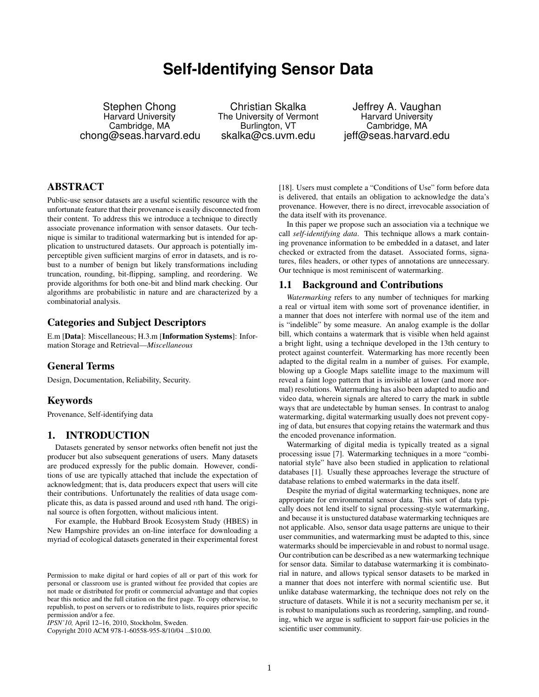# **Self-Identifying Sensor Data**

Stephen Chong Harvard University Cambridge, MA chong@seas.harvard.edu

Christian Skalka The University of Vermont Burlington, VT skalka@cs.uvm.edu

Jeffrey A. Vaughan Harvard University Cambridge, MA jeff@seas.harvard.edu

### ABSTRACT

Public-use sensor datasets are a useful scientific resource with the unfortunate feature that their provenance is easily disconnected from their content. To address this we introduce a technique to directly associate provenance information with sensor datasets. Our technique is similar to traditional watermarking but is intended for application to unstructured datasets. Our approach is potentially imperceptible given sufficient margins of error in datasets, and is robust to a number of benign but likely transformations including truncation, rounding, bit-flipping, sampling, and reordering. We provide algorithms for both one-bit and blind mark checking. Our algorithms are probabilistic in nature and are characterized by a combinatorial analysis.

### Categories and Subject Descriptors

E.m [Data]: Miscellaneous; H.3.m [Information Systems]: Information Storage and Retrieval—*Miscellaneous*

### General Terms

Design, Documentation, Reliability, Security.

### Keywords

Provenance, Self-identifying data

# 1. INTRODUCTION

Datasets generated by sensor networks often benefit not just the producer but also subsequent generations of users. Many datasets are produced expressly for the public domain. However, conditions of use are typically attached that include the expectation of acknowledgment; that is, data producers expect that users will cite their contributions. Unfortunately the realities of data usage complicate this, as data is passed around and used  $n$ th hand. The original source is often forgotten, without malicious intent.

For example, the Hubbard Brook Ecosystem Study (HBES) in New Hampshire provides an on-line interface for downloading a myriad of ecological datasets generated in their experimental forest

Copyright 2010 ACM 978-1-60558-955-8/10/04 ...\$10.00.

[18]. Users must complete a "Conditions of Use" form before data is delivered, that entails an obligation to acknowledge the data's provenance. However, there is no direct, irrevocable association of the data itself with its provenance.

In this paper we propose such an association via a technique we call *self-identifying data*. This technique allows a mark containing provenance information to be embedded in a dataset, and later checked or extracted from the dataset. Associated forms, signatures, files headers, or other types of annotations are unnecessary. Our technique is most reminiscent of watermarking.

### 1.1 Background and Contributions

*Watermarking* refers to any number of techniques for marking a real or virtual item with some sort of provenance identifier, in a manner that does not interfere with normal use of the item and is "indelible" by some measure. An analog example is the dollar bill, which contains a watermark that is visible when held against a bright light, using a technique developed in the 13th century to protect against counterfeit. Watermarking has more recently been adapted to the digital realm in a number of guises. For example, blowing up a Google Maps satellite image to the maximum will reveal a faint logo pattern that is invisible at lower (and more normal) resolutions. Watermarking has also been adapted to audio and video data, wherein signals are altered to carry the mark in subtle ways that are undetectable by human senses. In contrast to analog watermarking, digital watermarking usually does not prevent copying of data, but ensures that copying retains the watermark and thus the encoded provenance information.

Watermarking of digital media is typically treated as a signal processing issue [7]. Watermarking techniques in a more "combinatorial style" have also been studied in application to relational databases [1]. Usually these approaches leverage the structure of database relations to embed watermarks in the data itself.

Despite the myriad of digital watermarking techniques, none are appropriate for environmental sensor data. This sort of data typically does not lend itself to signal processing-style watermarking, and because it is unstuctured database watermarking techniques are not applicable. Also, sensor data usage patterns are unique to their user communities, and watermarking must be adapted to this, since watermarks should be impercievable in and robust to normal usage. Our contribution can be described as a new watermarking technique for sensor data. Similar to database watermarking it is combinatorial in nature, and allows typical sensor datasets to be marked in a manner that does not interfere with normal scientific use. But unlike database watermarking, the technique does not rely on the structure of datasets. While it is not a security mechanism per se, it is robust to manipulations such as reordering, sampling, and rounding, which we argue is sufficient to support fair-use policies in the scientific user community.

Permission to make digital or hard copies of all or part of this work for personal or classroom use is granted without fee provided that copies are not made or distributed for profit or commercial advantage and that copies bear this notice and the full citation on the first page. To copy otherwise, to republish, to post on servers or to redistribute to lists, requires prior specific permission and/or a fee.

*IPSN'10,* April 12–16, 2010, Stockholm, Sweden.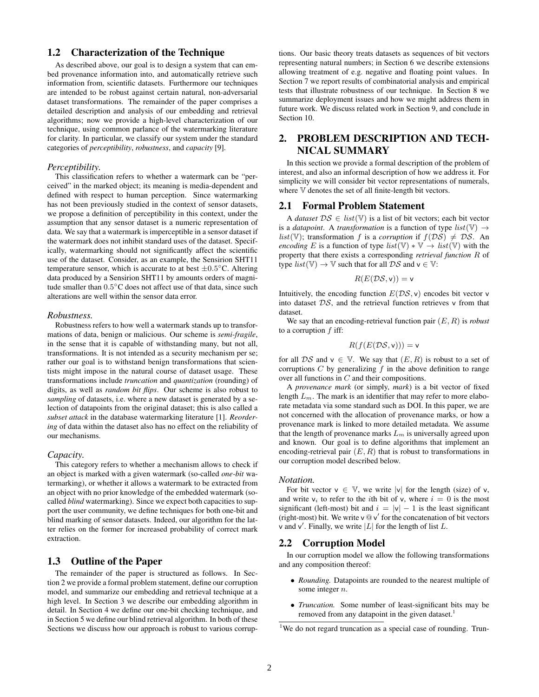# 1.2 Characterization of the Technique

As described above, our goal is to design a system that can embed provenance information into, and automatically retrieve such information from, scientific datasets. Furthermore our techniques are intended to be robust against certain natural, non-adversarial dataset transformations. The remainder of the paper comprises a detailed description and analysis of our embedding and retrieval algorithms; now we provide a high-level characterization of our technique, using common parlance of the watermarking literature for clarity. In particular, we classify our system under the standard categories of *perceptibility*, *robustness*, and *capacity* [9].

#### *Perceptibility.*

This classification refers to whether a watermark can be "perceived" in the marked object; its meaning is media-dependent and defined with respect to human perception. Since watermarking has not been previously studied in the context of sensor datasets, we propose a definition of perceptibility in this context, under the assumption that any sensor dataset is a numeric representation of data. We say that a watermark is imperceptible in a sensor dataset if the watermark does not inhibit standard uses of the dataset. Specifically, watermarking should not significantly affect the scientific use of the dataset. Consider, as an example, the Sensirion SHT11 temperature sensor, which is accurate to at best  $\pm 0.5^{\circ}$ C. Altering data produced by a Sensirion SHT11 by amounts orders of magnitude smaller than  $0.5^{\circ}$ C does not affect use of that data, since such alterations are well within the sensor data error.

#### *Robustness.*

Robustness refers to how well a watermark stands up to transformations of data, benign or malicious. Our scheme is *semi-fragile*, in the sense that it is capable of withstanding many, but not all, transformations. It is not intended as a security mechanism per se; rather our goal is to withstand benign transformations that scientists might impose in the natural course of dataset usage. These transformations include *truncation* and *quantization* (rounding) of digits, as well as *random bit flips*. Our scheme is also robust to *sampling* of datasets, i.e. where a new dataset is generated by a selection of datapoints from the original dataset; this is also called a *subset attack* in the database watermarking literature [1]. *Reordering* of data within the dataset also has no effect on the reliability of our mechanisms.

#### *Capacity.*

This category refers to whether a mechanism allows to check if an object is marked with a given watermark (so-called *one-bit* watermarking), or whether it allows a watermark to be extracted from an object with no prior knowledge of the embedded watermark (socalled *blind* watermarking). Since we expect both capacities to support the user community, we define techniques for both one-bit and blind marking of sensor datasets. Indeed, our algorithm for the latter relies on the former for increased probability of correct mark extraction.

### 1.3 Outline of the Paper

The remainder of the paper is structured as follows. In Section 2 we provide a formal problem statement, define our corruption model, and summarize our embedding and retrieval technique at a high level. In Section 3 we describe our embedding algorithm in detail. In Section 4 we define our one-bit checking technique, and in Section 5 we define our blind retrieval algorithm. In both of these Sections we discuss how our approach is robust to various corruptions. Our basic theory treats datasets as sequences of bit vectors representing natural numbers; in Section 6 we describe extensions allowing treatment of e.g. negative and floating point values. In Section 7 we report results of combinatorial analysis and empirical tests that illustrate robustness of our technique. In Section 8 we summarize deployment issues and how we might address them in future work. We discuss related work in Section 9, and conclude in Section 10.

# 2. PROBLEM DESCRIPTION AND TECH-NICAL SUMMARY

In this section we provide a formal description of the problem of interest, and also an informal description of how we address it. For simplicity we will consider bit vector representations of numerals, where V denotes the set of all finite-length bit vectors.

#### 2.1 Formal Problem Statement

A *dataset*  $DS \in list(\mathbb{V})$  is a list of bit vectors; each bit vector is a *datapoint*. A *transformation* is a function of type  $list(\mathbb{V}) \rightarrow$ list(V); transformation f is a *corruption* if  $f(DS) \neq DS$ . An *encoding* E is a function of type  $list(\mathbb{V}) * \mathbb{V} \rightarrow list(\mathbb{V})$  with the property that there exists a corresponding *retrieval function* R of type  $list(\mathbb{V}) \rightarrow \mathbb{V}$  such that for all  $DS$  and  $v \in \mathbb{V}$ :

$$
R(E(\mathcal{DS}, \mathsf{v})) = \mathsf{v}
$$

Intuitively, the encoding function  $E(DS, v)$  encodes bit vector v into dataset  $DS$ , and the retrieval function retrieves  $\nu$  from that dataset.

We say that an encoding-retrieval function pair (E, R) is *robust* to a corruption  $f$  iff:

$$
R(f(E(\mathcal{DS}, \mathsf{v}))) = \mathsf{v}
$$

for all  $DS$  and  $v \in V$ . We say that  $(E, R)$  is robust to a set of corruptions  $C$  by generalizing  $f$  in the above definition to range over all functions in C and their compositions.

A *provenance mark* (or simply, *mark*) is a bit vector of fixed length  $L_m$ . The mark is an identifier that may refer to more elaborate metadata via some standard such as DOI. In this paper, we are not concerned with the allocation of provenance marks, or how a provenance mark is linked to more detailed metadata. We assume that the length of provenance marks  $L_m$  is universally agreed upon and known. Our goal is to define algorithms that implement an encoding-retrieval pair  $(E, R)$  that is robust to transformations in our corruption model described below.

#### *Notation.*

For bit vector  $v \in V$ , we write |v| for the length (size) of v, and write  $v_i$  to refer to the *i*th bit of v, where  $i = 0$  is the most significant (left-most) bit and  $i = |v| - 1$  is the least significant (right-most) bit. We write  $v @ v'$  for the concatenation of bit vectors v and v'. Finally, we write  $|L|$  for the length of list L.

### 2.2 Corruption Model

In our corruption model we allow the following transformations and any composition thereof:

- *Rounding.* Datapoints are rounded to the nearest multiple of some integer  $n$ .
- *Truncation.* Some number of least-significant bits may be removed from any datapoint in the given dataset.<sup>1</sup>

<sup>&</sup>lt;sup>1</sup>We do not regard truncation as a special case of rounding. Trun-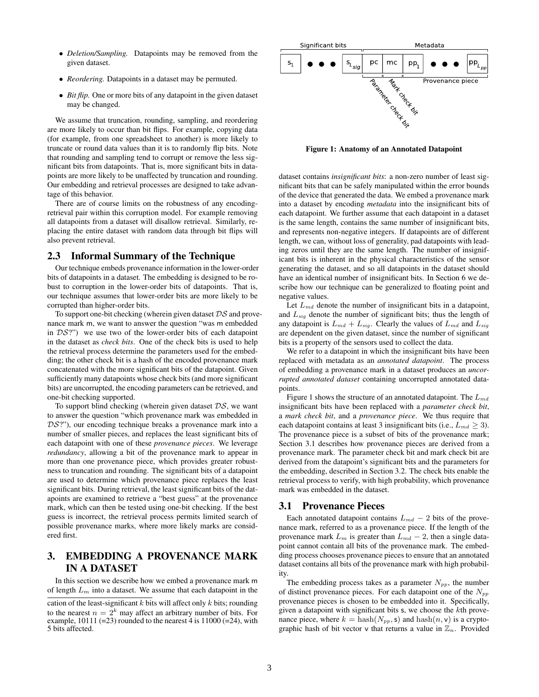- *Deletion/Sampling.* Datapoints may be removed from the given dataset.
- *Reordering.* Datapoints in a dataset may be permuted.
- *Bit flip.* One or more bits of any datapoint in the given dataset may be changed.

We assume that truncation, rounding, sampling, and reordering are more likely to occur than bit flips. For example, copying data (for example, from one spreadsheet to another) is more likely to truncate or round data values than it is to randomly flip bits. Note that rounding and sampling tend to corrupt or remove the less significant bits from datapoints. That is, more significant bits in datapoints are more likely to be unaffected by truncation and rounding. Our embedding and retrieval processes are designed to take advantage of this behavior.

There are of course limits on the robustness of any encodingretrieval pair within this corruption model. For example removing all datapoints from a dataset will disallow retrieval. Similarly, replacing the entire dataset with random data through bit flips will also prevent retrieval.

### 2.3 Informal Summary of the Technique

Our technique embeds provenance information in the lower-order bits of datapoints in a dataset. The embedding is designed to be robust to corruption in the lower-order bits of datapoints. That is, our technique assumes that lower-order bits are more likely to be corrupted than higher-order bits.

To support one-bit checking (wherein given dataset  $DS$  and provenance mark m, we want to answer the question "was m embedded in  $DS$ ?") we use two of the lower-order bits of each datapoint in the dataset as *check bits*. One of the check bits is used to help the retrieval process determine the parameters used for the embedding; the other check bit is a hash of the encoded provenance mark concatenated with the more significant bits of the datapoint. Given sufficiently many datapoints whose check bits (and more significant bits) are uncorrupted, the encoding parameters can be retrieved, and one-bit checking supported.

To support blind checking (wherein given dataset  $DS$ , we want to answer the question "which provenance mark was embedded in  $DS$ ?"), our encoding technique breaks a provenance mark into a number of smaller pieces, and replaces the least significant bits of each datapoint with one of these *provenance pieces*. We leverage *redundancy*, allowing a bit of the provenance mark to appear in more than one provenance piece, which provides greater robustness to truncation and rounding. The significant bits of a datapoint are used to determine which provenance piece replaces the least significant bits. During retrieval, the least significant bits of the datapoints are examined to retrieve a "best guess" at the provenance mark, which can then be tested using one-bit checking. If the best guess is incorrect, the retrieval process permits limited search of possible provenance marks, where more likely marks are considered first.

# 3. EMBEDDING A PROVENANCE MARK IN A DATASET

In this section we describe how we embed a provenance mark m of length  $L_m$  into a dataset. We assume that each datapoint in the



Figure 1: Anatomy of an Annotated Datapoint

dataset contains *insignificant bits*: a non-zero number of least significant bits that can be safely manipulated within the error bounds of the device that generated the data. We embed a provenance mark into a dataset by encoding *metadata* into the insignificant bits of each datapoint. We further assume that each datapoint in a dataset is the same length, contains the same number of insignificant bits, and represents non-negative integers. If datapoints are of different length, we can, without loss of generality, pad datapoints with leading zeros until they are the same length. The number of insignificant bits is inherent in the physical characteristics of the sensor generating the dataset, and so all datapoints in the dataset should have an identical number of insignificant bits. In Section 6 we describe how our technique can be generalized to floating point and negative values.

Let  $L_{md}$  denote the number of insignificant bits in a datapoint, and  $L_{sig}$  denote the number of significant bits; thus the length of any datapoint is  $L_{md} + L_{sig}$ . Clearly the values of  $L_{md}$  and  $L_{sig}$ are dependent on the given dataset, since the number of significant bits is a property of the sensors used to collect the data.

We refer to a datapoint in which the insignificant bits have been replaced with metadata as an *annotated datapoint*. The process of embedding a provenance mark in a dataset produces an *uncorrupted annotated dataset* containing uncorrupted annotated datapoints.

Figure 1 shows the structure of an annotated datapoint. The  $L_{md}$ insignificant bits have been replaced with a *parameter check bit*, a *mark check bit*, and a *provenance piece*. We thus require that each datapoint contains at least 3 insignificant bits (i.e.,  $L_{md} \geq 3$ ). The provenance piece is a subset of bits of the provenance mark; Section 3.1 describes how provenance pieces are derived from a provenance mark. The parameter check bit and mark check bit are derived from the datapoint's significant bits and the parameters for the embedding, described in Section 3.2. The check bits enable the retrieval process to verify, with high probability, which provenance mark was embedded in the dataset.

#### 3.1 Provenance Pieces

Each annotated datapoint contains  $L_{md} - 2$  bits of the provenance mark, referred to as a provenance piece. If the length of the provenance mark  $L_m$  is greater than  $L_{md} - 2$ , then a single datapoint cannot contain all bits of the provenance mark. The embedding process chooses provenance pieces to ensure that an annotated dataset contains all bits of the provenance mark with high probability.

The embedding process takes as a parameter  $N_{pp}$ , the number of distinct provenance pieces. For each datapoint one of the  $N_{pp}$ provenance pieces is chosen to be embedded into it. Specifically, given a datapoint with significant bits s, we choose the kth provenance piece, where  $k = \text{hash}(N_{pp}, \mathbf{s})$  and  $\text{hash}(n, \mathbf{v})$  is a cryptographic hash of bit vector v that returns a value in  $\mathbb{Z}_n$ . Provided

cation of the least-significant  $k$  bits will affect only  $k$  bits; rounding to the nearest  $n = 2<sup>k</sup>$  may affect an arbitrary number of bits. For example,  $10111 (=23)$  rounded to the nearest 4 is  $11000 (=24)$ , with 5 bits affected.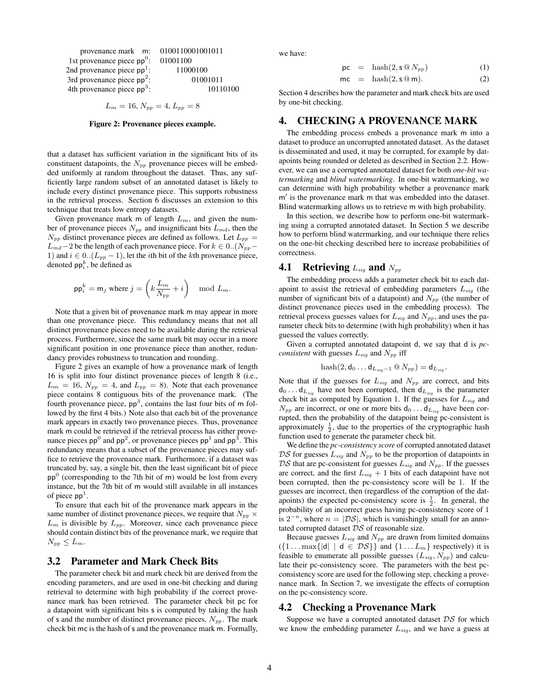| 0100110001001011 |
|------------------|
| 01001100         |
| 11000100         |
| 01001011         |
| 10110100         |
|                  |

$$
L_m = 16, N_{pp} = 4, L_{pp} = 8
$$

#### Figure 2: Provenance pieces example.

that a dataset has sufficient variation in the significant bits of its constituent datapoints, the  $N_{pp}$  provenance pieces will be embedded uniformly at random throughout the dataset. Thus, any sufficiently large random subset of an annotated dataset is likely to include every distinct provenance piece. This supports robustness in the retrieval process. Section 6 discusses an extension to this technique that treats low entropy datasets.

Given provenance mark m of length  $L_m$ , and given the number of provenance pieces  $N_{pp}$  and insignificant bits  $L_{md}$ , then the  $N_{pp}$  distinct provenance pieces are defined as follows. Let  $L_{pp}$  =  $L_{md}$  – 2 be the length of each provenance piece. For  $k \in 0..(N_{pp}-1)$ 1) and  $i \in 0..(L_{pp}-1)$ , let the *i*th bit of the *k*th provenance piece, denoted  $\mathsf{pp}_i^k$ , be defined as

$$
\mathsf{pp}_i^k = \mathsf{m}_j \text{ where } j = \left(k\frac{L_m}{N_{pp}} + i\right) \mod L_m.
$$

Note that a given bit of provenance mark m may appear in more than one provenance piece. This redundancy means that not all distinct provenance pieces need to be available during the retrieval process. Furthermore, since the same mark bit may occur in a more significant position in one provenance piece than another, redundancy provides robustness to truncation and rounding.

Figure 2 gives an example of how a provenance mark of length 16 is split into four distinct provenance pieces of length 8 (i.e.,  $L_m = 16$ ,  $N_{pp} = 4$ , and  $L_{pp} = 8$ ). Note that each provenance piece contains 8 contiguous bits of the provenance mark. (The fourth provenance piece,  $pp<sup>3</sup>$ , contains the last four bits of m followed by the first 4 bits.) Note also that each bit of the provenance mark appears in exactly two provenance pieces. Thus, provenance mark m could be retrieved if the retrieval process has either provenance pieces  $pp^0$  and  $pp^2$ , or provenance pieces  $pp^1$  and  $pp^3$ . This redundancy means that a subset of the provenance pieces may suffice to retrieve the provenance mark. Furthermore, if a dataset was truncated by, say, a single bit, then the least significant bit of piece  $pp<sup>0</sup>$  (corresponding to the 7th bit of m) would be lost from every instance, but the 7th bit of m would still available in all instances of piece  $pp<sup>1</sup>$ .

To ensure that each bit of the provenance mark appears in the same number of distinct provenance pieces, we require that  $N_{pp} \times$  $L_m$  is divisible by  $L_{pp}$ . Moreover, since each provenance piece should contain distinct bits of the provenance mark, we require that  $N_{pp} \leq L_m$ .

### 3.2 Parameter and Mark Check Bits

The parameter check bit and mark check bit are derived from the encoding parameters, and are used in one-bit checking and during retrieval to determine with high probability if the correct provenance mark has been retrieved. The parameter check bit pc for a datapoint with significant bits s is computed by taking the hash of s and the number of distinct provenance pieces,  $N_{pp}$ . The mark check bit mc is the hash of s and the provenance mark m. Formally, we have:

pc = hash(2,s @ Npp) (1) mc = hash(2,s @ m). (2)

$$
mc = \text{nasn}(2, \mathbf{s} \circledast \mathbf{m}). \tag{2}
$$

Section 4 describes how the parameter and mark check bits are used by one-bit checking.

### 4. CHECKING A PROVENANCE MARK

The embedding process embeds a provenance mark m into a dataset to produce an uncorrupted annotated dataset. As the dataset is disseminated and used, it may be corrupted, for example by datapoints being rounded or deleted as described in Section 2.2. However, we can use a corrupted annotated dataset for both *one-bit watermarking* and *blind watermarking*. In one-bit watermarking, we can determine with high probability whether a provenance mark m' is the provenance mark m that was embedded into the dataset. Blind watermarking allows us to retrieve m with high probability.

In this section, we describe how to perform one-bit watermarking using a corrupted annotated dataset. In Section 5 we describe how to perform blind watermarking, and our technique there relies on the one-bit checking described here to increase probabilities of correctness.

### **4.1** Retrieving  $L_{sig}$  and  $N_{pp}$

The embedding process adds a parameter check bit to each datapoint to assist the retrieval of embedding parameters  $L_{sig}$  (the number of significant bits of a datapoint) and  $N_{pp}$  (the number of distinct provenance pieces used in the embedding process). The retrieval process guesses values for  $L_{sig}$  and  $N_{pp}$ , and uses the parameter check bits to determine (with high probability) when it has guessed the values correctly.

Given a corrupted annotated datapoint d, we say that d is *pcconsistent* with guesses  $L_{sig}$  and  $N_{pp}$  iff

hash(2, d<sup>0</sup> . . . d<sup>L</sup>sig−<sup>1</sup> @ Npp) = d<sup>L</sup>sig .

Note that if the guesses for  $L_{sig}$  and  $N_{pp}$  are correct, and bits  $d_0 \dots d_{L_{sig}}$  have not been corrupted, then  $d_{L_{sig}}$  is the parameter check bit as computed by Equation 1. If the guesses for  $L_{sig}$  and  $N_{pp}$  are incorrect, or one or more bits  $d_0 \dots d_{L_{sig}}$  have been corrupted, then the probability of the datapoint being pc-consistent is approximately  $\frac{1}{2}$ , due to the properties of the cryptographic hash function used to generate the parameter check bit.

We define the *pc-consistency score* of corrupted annotated dataset  $DS$  for guesses  $L_{sig}$  and  $N_{pp}$  to be the proportion of datapoints in  $DS$  that are pc-consistent for guesses  $L_{sig}$  and  $N_{pp}$ . If the guesses are correct, and the first  $L_{sig} + 1$  bits of each datapoint have not been corrupted, then the pc-consistency score will be 1. If the guesses are incorrect, then (regardless of the corruption of the datapoints) the expected pc-consistency score is  $\frac{1}{2}$ . In general, the probability of an incorrect guess having pc-consistency score of 1 is  $2^{-n}$ , where  $n = |DS|$ , which is vanishingly small for an annotated corrupted dataset DS of reasonable size.

Because guesses  $L_{sig}$  and  $N_{pp}$  are drawn from limited domains  $({1 \dots max\{|d| | d \in \mathcal{DS}\}}$  and  ${1 \dots L_m}$  respectively) it is feasible to enumerate all possible guesses  $(L_{sig}, N_{pp})$  and calculate their pc-consistency score. The parameters with the best pcconsistency score are used for the following step, checking a provenance mark. In Section 7, we investigate the effects of corruption on the pc-consistency score.

#### 4.2 Checking a Provenance Mark

Suppose we have a corrupted annotated dataset  $DS$  for which we know the embedding parameter  $L_{sig}$ , and we have a guess at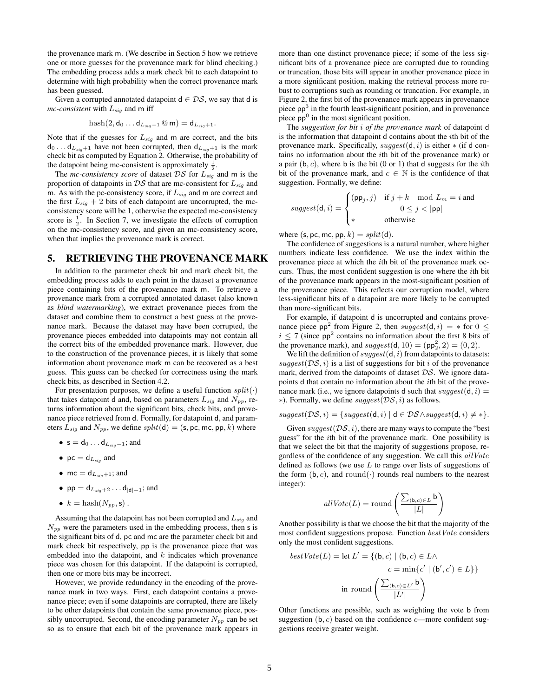the provenance mark m. (We describe in Section 5 how we retrieve one or more guesses for the provenance mark for blind checking.) The embedding process adds a mark check bit to each datapoint to determine with high probability when the correct provenance mark has been guessed.

Given a corrupted annotated datapoint  $d \in \mathcal{DS}$ , we say that d is *mc-consistent* with  $L_{sig}$  and m iff

$$
hash(2, d_0 \dots d_{L_{sig}-1} \t\t@m) = d_{L_{sig}+1}.
$$

Note that if the guesses for  $L_{sig}$  and m are correct, and the bits  $d_0 \dots d_{L_{sio}+1}$  have not been corrupted, then  $d_{L_{sio}+1}$  is the mark check bit as computed by Equation 2. Otherwise, the probability of the datapoint being mc-consistent is approximately  $\frac{1}{2}$ .

The *mc-consistency score* of dataset  $DS$  for  $L_{sig}$  and m is the proportion of datapoints in  $DS$  that are mc-consistent for  $L_{sig}$  and m. As with the pc-consistency score, if  $L_{sig}$  and m are correct and the first  $L_{sig}$  + 2 bits of each datapoint are uncorrupted, the mcconsistency score will be 1, otherwise the expected mc-consistency score is  $\frac{1}{2}$ . In Section 7, we investigate the effects of corruption on the mc-consistency score, and given an mc-consistency score, when that implies the provenance mark is correct.

### 5. RETRIEVING THE PROVENANCE MARK

In addition to the parameter check bit and mark check bit, the embedding process adds to each point in the dataset a provenance piece containing bits of the provenance mark m. To retrieve a provenance mark from a corrupted annotated dataset (also known as *blind watermarking*), we extract provenance pieces from the dataset and combine them to construct a best guess at the provenance mark. Because the dataset may have been corrupted, the provenance pieces embedded into datapoints may not contain all the correct bits of the embedded provenance mark. However, due to the construction of the provenance pieces, it is likely that some information about provenance mark m can be recovered as a best guess. This guess can be checked for correctness using the mark check bits, as described in Section 4.2.

For presentation purposes, we define a useful function  $split(\cdot)$ that takes datapoint d and, based on parameters  $L_{sig}$  and  $N_{pp}$ , returns information about the significant bits, check bits, and provenance piece retrieved from d. Formally, for datapoint d, and parameters  $L_{sig}$  and  $N_{pp}$ , we define  $split(d) = (s, pc, mc, pp, k)$  where

- $s = d_0 \dots d_{L_{sig}-1}$ ; and
- $pc = d_{L_{sig}}$  and
- mc =  $d_{L_{sig}+1}$ ; and
- $pp = d_{L_{sig}+2} \dots d_{|d|-1}$ ; and
- $k = \text{hash}(N_{pp}, \mathsf{s})$ .

Assuming that the datapoint has not been corrupted and  $L_{sig}$  and  $N_{pp}$  were the parameters used in the embedding process, then s is the significant bits of d, pc and mc are the parameter check bit and mark check bit respectively, pp is the provenance piece that was embedded into the datapoint, and  $k$  indicates which provenance piece was chosen for this datapoint. If the datapoint is corrupted, then one or more bits may be incorrect.

However, we provide redundancy in the encoding of the provenance mark in two ways. First, each datapoint contains a provenance piece; even if some datapoints are corrupted, there are likely to be other datapoints that contain the same provenance piece, possibly uncorrupted. Second, the encoding parameter  $N_{pp}$  can be set so as to ensure that each bit of the provenance mark appears in more than one distinct provenance piece; if some of the less significant bits of a provenance piece are corrupted due to rounding or truncation, those bits will appear in another provenance piece in a more significant position, making the retrieval process more robust to corruptions such as rounding or truncation. For example, in Figure 2, the first bit of the provenance mark appears in provenance piece pp<sup>3</sup> in the fourth least-significant position, and in provenance piece  $pp<sup>0</sup>$  in the most significant position.

The *suggestion for bit* i *of the provenance mark* of datapoint d is the information that datapoint d contains about the ith bit of the provenance mark. Specifically,  $suggest(d, i)$  is either  $*$  (if d contains no information about the ith bit of the provenance mark) or a pair  $(b, c)$ , where b is the bit  $(0 \text{ or } 1)$  that d suggests for the *i*th bit of the provenance mark, and  $c \in \mathbb{N}$  is the confidence of that suggestion. Formally, we define:

$$
suggest(\mathsf{d}, i) = \begin{cases} (\mathsf{pp}_j, j) & \text{if } j + k \mod L_m = i \text{ and} \\ * & 0 \leq j < |\mathsf{pp}| \\ * & \text{otherwise} \end{cases}
$$

where (s, pc, mc, pp,  $k$ ) =  $split(d)$ .

The confidence of suggestions is a natural number, where higher numbers indicate less confidence. We use the index within the provenance piece at which the ith bit of the provenance mark occurs. Thus, the most confident suggestion is one where the ith bit of the provenance mark appears in the most-significant position of the provenance piece. This reflects our corruption model, where less-significant bits of a datapoint are more likely to be corrupted than more-significant bits.

For example, if datapoint d is uncorrupted and contains provenance piece pp<sup>2</sup> from Figure 2, then  $suggest(d, i) = *$  for  $0 \le$  $i \leq 7$  (since pp<sup>2</sup> contains no information about the first 8 bits of the provenance mark), and  $suggest(d, 10) = (pp<sub>2</sub><sup>2</sup>, 2) = (0, 2)$ .

We lift the definition of  $suggest(d, i)$  from datapoints to datasets: suggest( $DS$ , i) is a list of suggestions for bit i of the provenance mark, derived from the datapoints of dataset DS. We ignore datapoints d that contain no information about the ith bit of the provenance mark (i.e., we ignore datapoints d such that  $suggest(d, i)$  $*$ ). Formally, we define suggest( $DS$ , i) as follows.

$$
suggest(\mathcal{DS}, i) = \{ suggest(\mathsf{d}, i) \mid \mathsf{d} \in \mathcal{DS} \land suggest(\mathsf{d}, i) \neq * \}.
$$

Given  $suggest(DS, i)$ , there are many ways to compute the "best" guess" for the ith bit of the provenance mark. One possibility is that we select the bit that the majority of suggestions propose, regardless of the confidence of any suggestion. We call this all Vote defined as follows (we use  $L$  to range over lists of suggestions of the form  $(b, c)$ , and round $(\cdot)$  rounds real numbers to the nearest integer):

$$
allVote(L) = round\left(\frac{\sum_{(b,c)\in L} b}{|L|}\right)
$$

Another possibility is that we choose the bit that the majority of the most confident suggestions propose. Function bestVote considers only the most confident suggestions.

$$
bestVote(L) = let L' = \{(b, c) | (b, c) \in L \land
$$

$$
c = \min\{c' | (b', c') \in L\}\}
$$

$$
in round\left(\frac{\sum_{(b, c) \in L'} b}{|L'|}\right)
$$

Other functions are possible, such as weighting the vote b from suggestion  $(b, c)$  based on the confidence *c*—more confident suggestions receive greater weight.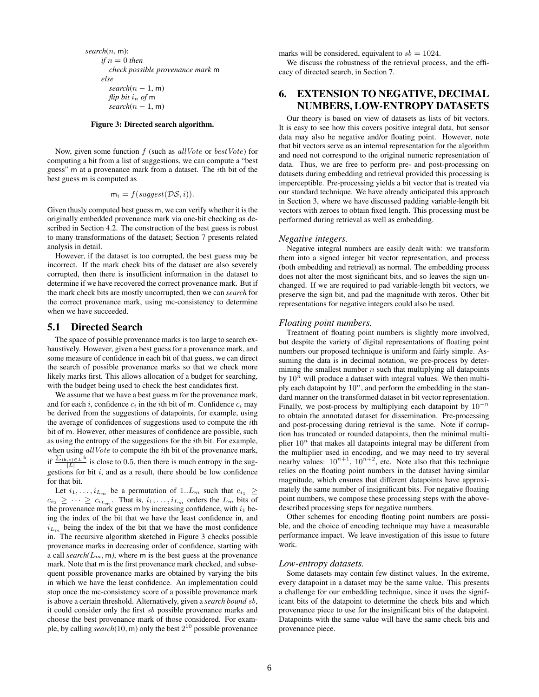```
search(n, m):
 if n = 0 thencheck possible provenance mark m
else
   search(n - 1, m)flip bit in of m
   search(n - 1, m)
```
#### Figure 3: Directed search algorithm.

Now, given some function  $f$  (such as  $allVote$  or  $bestVote$ ) for computing a bit from a list of suggestions, we can compute a "best guess" m at a provenance mark from a dataset. The ith bit of the best guess m is computed as

$$
\mathsf{m}_i = f(suggest(\mathcal{DS}, i)).
$$

Given thusly computed best guess m, we can verify whether it is the originally embedded provenance mark via one-bit checking as described in Section 4.2. The construction of the best guess is robust to many transformations of the dataset; Section 7 presents related analysis in detail.

However, if the dataset is too corrupted, the best guess may be incorrect. If the mark check bits of the dataset are also severely corrupted, then there is insufficient information in the dataset to determine if we have recovered the correct provenance mark. But if the mark check bits are mostly uncorrupted, then we can *search* for the correct provenance mark, using mc-consistency to determine when we have succeeded.

#### 5.1 Directed Search

The space of possible provenance marks is too large to search exhaustively. However, given a best guess for a provenance mark, and some measure of confidence in each bit of that guess, we can direct the search of possible provenance marks so that we check more likely marks first. This allows allocation of a budget for searching, with the budget being used to check the best candidates first.

We assume that we have a best guess m for the provenance mark, and for each i, confidence  $c_i$  in the ith bit of m. Confidence  $c_i$  may be derived from the suggestions of datapoints, for example, using the average of confidences of suggestions used to compute the ith bit of m. However, other measures of confidence are possible, such as using the entropy of the suggestions for the ith bit. For example, when using allVote to compute the *i*th bit of the provenance mark, if  $\frac{\sum_{(b,c)\in L} b}{|L|}$  is close to 0.5, then there is much entropy in the suggestions for bit  $i$ , and as a result, there should be low confidence for that bit.

Let  $i_1, \ldots, i_{L_m}$  be a permutation of  $1..L_m$  such that  $c_{i_1} \geq$  $c_{i_2} \geq \cdots \geq c_{i_{L_m}}$ . That is,  $i_1, \ldots, i_{L_m}$  orders the  $L_m$  bits of the provenance mark guess m by increasing confidence, with  $i_1$  being the index of the bit that we have the least confidence in, and  $i_{L_m}$  being the index of the bit that we have the most confidence in. The recursive algorithm sketched in Figure 3 checks possible provenance marks in decreasing order of confidence, starting with a call  $search(L_m, m)$ , where m is the best guess at the provenance mark. Note that m is the first provenance mark checked, and subsequent possible provenance marks are obtained by varying the bits in which we have the least confidence. An implementation could stop once the mc-consistency score of a possible provenance mark is above a certain threshold. Alternatively, given a *search bound* sb, it could consider only the first sb possible provenance marks and choose the best provenance mark of those considered. For example, by calling  $search(10, m)$  only the best  $2^{10}$  possible provenance

marks will be considered, equivalent to  $sb = 1024$ .

We discuss the robustness of the retrieval process, and the efficacy of directed search, in Section 7.

# 6. EXTENSION TO NEGATIVE, DECIMAL NUMBERS, LOW-ENTROPY DATASETS

Our theory is based on view of datasets as lists of bit vectors. It is easy to see how this covers positive integral data, but sensor data may also be negative and/or floating point. However, note that bit vectors serve as an internal representation for the algorithm and need not correspond to the original numeric representation of data. Thus, we are free to perform pre- and post-processing on datasets during embedding and retrieval provided this processing is imperceptible. Pre-processing yields a bit vector that is treated via our standard technique. We have already anticipated this approach in Section 3, where we have discussed padding variable-length bit vectors with zeroes to obtain fixed length. This processing must be performed during retrieval as well as embedding.

#### *Negative integers.*

Negative integral numbers are easily dealt with: we transform them into a signed integer bit vector representation, and process (both embedding and retrieval) as normal. The embedding process does not alter the most significant bits, and so leaves the sign unchanged. If we are required to pad variable-length bit vectors, we preserve the sign bit, and pad the magnitude with zeros. Other bit representations for negative integers could also be used.

#### *Floating point numbers.*

Treatment of floating point numbers is slightly more involved, but despite the variety of digital representations of floating point numbers our proposed technique is uniform and fairly simple. Assuming the data is in decimal notation, we pre-process by determining the smallest number  $n$  such that multiplying all datapoints by  $10^n$  will produce a dataset with integral values. We then multiply each datapoint by  $10^n$ , and perform the embedding in the standard manner on the transformed dataset in bit vector representation. Finally, we post-process by multiplying each datapoint by  $10^{-n}$ to obtain the annotated dataset for dissemination. Pre-processing and post-processing during retrieval is the same. Note if corruption has truncated or rounded datapoints, then the minimal multiplier  $10^n$  that makes all datapoints integral may be different from the multiplier used in encoding, and we may need to try several nearby values:  $10^{n+1}$ ,  $10^{n+2}$ , etc. Note also that this technique relies on the floating point numbers in the dataset having similar magnitude, which ensures that different datapoints have approximately the same number of insignificant bits. For negative floating point numbers, we compose these processing steps with the abovedescribed processing steps for negative numbers.

Other schemes for encoding floating point numbers are possible, and the choice of encoding technique may have a measurable performance impact. We leave investigation of this issue to future work.

#### *Low-entropy datasets.*

Some datasets may contain few distinct values. In the extreme, every datapoint in a dataset may be the same value. This presents a challenge for our embedding technique, since it uses the significant bits of the datapoint to determine the check bits and which provenance piece to use for the insignificant bits of the datapoint. Datapoints with the same value will have the same check bits and provenance piece.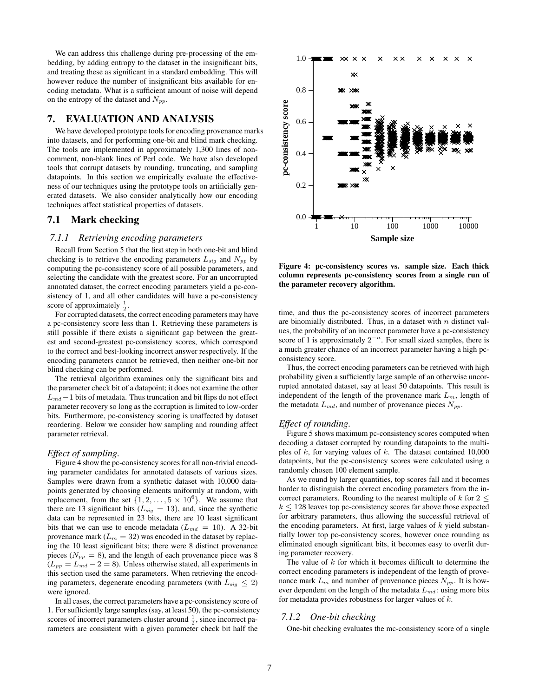We can address this challenge during pre-processing of the embedding, by adding entropy to the dataset in the insignificant bits, and treating these as significant in a standard embedding. This will however reduce the number of insignificant bits available for encoding metadata. What is a sufficient amount of noise will depend on the entropy of the dataset and  $N_{pp}$ .

### 7. EVALUATION AND ANALYSIS

We have developed prototype tools for encoding provenance marks into datasets, and for performing one-bit and blind mark checking. The tools are implemented in approximately 1,300 lines of noncomment, non-blank lines of Perl code. We have also developed tools that corrupt datasets by rounding, truncating, and sampling datapoints. In this section we empirically evaluate the effectiveness of our techniques using the prototype tools on artificially generated datasets. We also consider analytically how our encoding techniques affect statistical properties of datasets.

### 7.1 Mark checking

#### *7.1.1 Retrieving encoding parameters*

Recall from Section 5 that the first step in both one-bit and blind checking is to retrieve the encoding parameters  $L_{sig}$  and  $N_{pp}$  by computing the pc-consistency score of all possible parameters, and selecting the candidate with the greatest score. For an uncorrupted annotated dataset, the correct encoding parameters yield a pc-consistency of 1, and all other candidates will have a pc-consistency score of approximately  $\frac{1}{2}$ .

For corrupted datasets, the correct encoding parameters may have a pc-consistency score less than 1. Retrieving these parameters is still possible if there exists a significant gap between the greatest and second-greatest pc-consistency scores, which correspond to the correct and best-looking incorrect answer respectively. If the encoding parameters cannot be retrieved, then neither one-bit nor blind checking can be performed.

The retrieval algorithm examines only the significant bits and the parameter check bit of a datapoint; it does not examine the other  $L_{md}$  – 1 bits of metadata. Thus truncation and bit flips do not effect parameter recovery so long as the corruption is limited to low-order bits. Furthermore, pc-consistency scoring is unaffected by dataset reordering. Below we consider how sampling and rounding affect parameter retrieval.

#### *Effect of sampling.*

Figure 4 show the pc-consistency scores for all non-trivial encoding parameter candidates for annotated datasets of various sizes. Samples were drawn from a synthetic dataset with 10,000 datapoints generated by choosing elements uniformly at random, with replacement, from the set  $\{1, 2, \ldots, 5 \times 10^6\}$ . We assume that there are 13 significant bits ( $L_{sig} = 13$ ), and, since the synthetic data can be represented in 23 bits, there are 10 least significant bits that we can use to encode metadata ( $L_{md} = 10$ ). A 32-bit provenance mark ( $L_m = 32$ ) was encoded in the dataset by replacing the 10 least significant bits; there were 8 distinct provenance pieces ( $N_{pp} = 8$ ), and the length of each provenance piece was 8  $(L_{pp} = L_{md} - 2 = 8)$ . Unless otherwise stated, all experiments in this section used the same parameters. When retrieving the encoding parameters, degenerate encoding parameters (with  $L_{sig} \leq 2$ ) were ignored.

In all cases, the correct parameters have a pc-consistency score of 1. For sufficiently large samples (say, at least 50), the pc-consistency scores of incorrect parameters cluster around  $\frac{1}{2}$ , since incorrect parameters are consistent with a given parameter check bit half the



Figure 4: pc-consistency scores vs. sample size. Each thick column represents pc-consistency scores from a single run of the parameter recovery algorithm.

time, and thus the pc-consistency scores of incorrect parameters are binomially distributed. Thus, in a dataset with  $n$  distinct values, the probability of an incorrect parameter have a pc-consistency score of 1 is approximately  $2^{-n}$ . For small sized samples, there is a much greater chance of an incorrect parameter having a high pcconsistency score.

Thus, the correct encoding parameters can be retrieved with high probability given a sufficiently large sample of an otherwise uncorrupted annotated dataset, say at least 50 datapoints. This result is independent of the length of the provenance mark  $L_m$ , length of the metadata  $L_{md}$ , and number of provenance pieces  $N_{pp}$ .

#### *Effect of rounding.*

Figure 5 shows maximum pc-consistency scores computed when decoding a dataset corrupted by rounding datapoints to the multiples of  $k$ , for varying values of  $k$ . The dataset contained 10,000 datapoints, but the pc-consistency scores were calculated using a randomly chosen 100 element sample.

As we round by larger quantities, top scores fall and it becomes harder to distinguish the correct encoding parameters from the incorrect parameters. Rounding to the nearest multiple of  $k$  for  $2 \leq$  $k \leq 128$  leaves top pc-consistency scores far above those expected for arbitrary parameters, thus allowing the successful retrieval of the encoding parameters. At first, large values of  $k$  yield substantially lower top pc-consistency scores, however once rounding as eliminated enough significant bits, it becomes easy to overfit during parameter recovery.

The value of  $k$  for which it becomes difficult to determine the correct encoding parameters is independent of the length of provenance mark  $L_m$  and number of provenance pieces  $N_{pp}$ . It is however dependent on the length of the metadata  $L_{md}$ : using more bits for metadata provides robustness for larger values of  $k$ .

### *7.1.2 One-bit checking*

One-bit checking evaluates the mc-consistency score of a single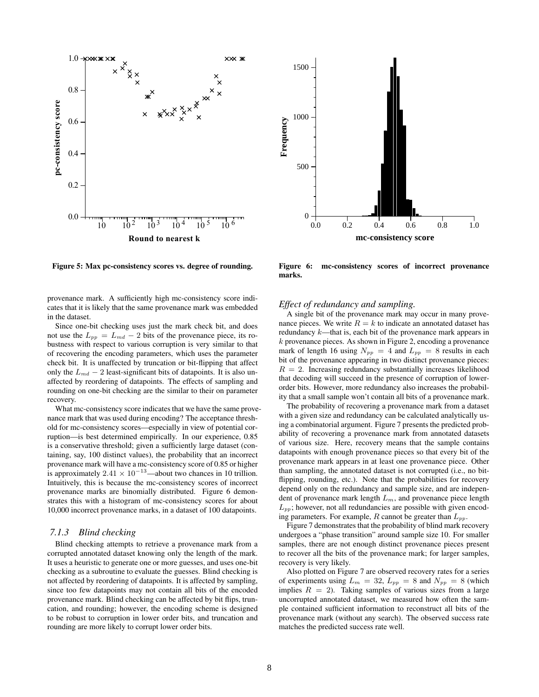

0.0 0.2 0.4 0.6 0.8 1.0 **mc-consistency score**  $\overline{0}$ 500 1000 1500 **Frequency**

Figure 5: Max pc-consistency scores vs. degree of rounding.

provenance mark. A sufficiently high mc-consistency score indicates that it is likely that the same provenance mark was embedded in the dataset.

Since one-bit checking uses just the mark check bit, and does not use the  $L_{pp} = L_{md} - 2$  bits of the provenance piece, its robustness with respect to various corruption is very similar to that of recovering the encoding parameters, which uses the parameter check bit. It is unaffected by truncation or bit-flipping that affect only the  $L_{md}$  – 2 least-significant bits of datapoints. It is also unaffected by reordering of datapoints. The effects of sampling and rounding on one-bit checking are the similar to their on parameter recovery.

What mc-consistency score indicates that we have the same provenance mark that was used during encoding? The acceptance threshold for mc-consistency scores—especially in view of potential corruption—is best determined empirically. In our experience, 0.85 is a conservative threshold; given a sufficiently large dataset (containing, say, 100 distinct values), the probability that an incorrect provenance mark will have a mc-consistency score of 0.85 or higher is approximately  $2.41 \times 10^{-13}$ —about two chances in 10 trillion. Intuitively, this is because the mc-consistency scores of incorrect provenance marks are binomially distributed. Figure 6 demonstrates this with a histogram of mc-consistency scores for about 10,000 incorrect provenance marks, in a dataset of 100 datapoints.

#### *7.1.3 Blind checking*

Blind checking attempts to retrieve a provenance mark from a corrupted annotated dataset knowing only the length of the mark. It uses a heuristic to generate one or more guesses, and uses one-bit checking as a subroutine to evaluate the guesses. Blind checking is not affected by reordering of datapoints. It is affected by sampling, since too few datapoints may not contain all bits of the encoded provenance mark. Blind checking can be affected by bit flips, truncation, and rounding; however, the encoding scheme is designed to be robust to corruption in lower order bits, and truncation and rounding are more likely to corrupt lower order bits.

Figure 6: mc-consistency scores of incorrect provenance marks.

#### *Effect of redundancy and sampling.*

A single bit of the provenance mark may occur in many provenance pieces. We write  $R = k$  to indicate an annotated dataset has redundancy k—that is, each bit of the provenance mark appears in k provenance pieces. As shown in Figure 2, encoding a provenance mark of length 16 using  $N_{pp} = 4$  and  $L_{pp} = 8$  results in each bit of the provenance appearing in two distinct provenance pieces:  $R = 2$ . Increasing redundancy substantially increases likelihood that decoding will succeed in the presence of corruption of lowerorder bits. However, more redundancy also increases the probability that a small sample won't contain all bits of a provenance mark.

The probability of recovering a provenance mark from a dataset with a given size and redundancy can be calculated analytically using a combinatorial argument. Figure 7 presents the predicted probability of recovering a provenance mark from annotated datasets of various size. Here, recovery means that the sample contains datapoints with enough provenance pieces so that every bit of the provenance mark appears in at least one provenance piece. Other than sampling, the annotated dataset is not corrupted (i.e., no bitflipping, rounding, etc.). Note that the probabilities for recovery depend only on the redundancy and sample size, and are independent of provenance mark length  $L_m$ , and provenance piece length  $L_{pp}$ ; however, not all redundancies are possible with given encoding parameters. For example, R cannot be greater than  $L_{pp}$ .

Figure 7 demonstrates that the probability of blind mark recovery undergoes a "phase transition" around sample size 10. For smaller samples, there are not enough distinct provenance pieces present to recover all the bits of the provenance mark; for larger samples, recovery is very likely.

Also plotted on Figure 7 are observed recovery rates for a series of experiments using  $L_m = 32$ ,  $L_{pp} = 8$  and  $N_{pp} = 8$  (which implies  $R = 2$ ). Taking samples of various sizes from a large uncorrupted annotated dataset, we measured how often the sample contained sufficient information to reconstruct all bits of the provenance mark (without any search). The observed success rate matches the predicted success rate well.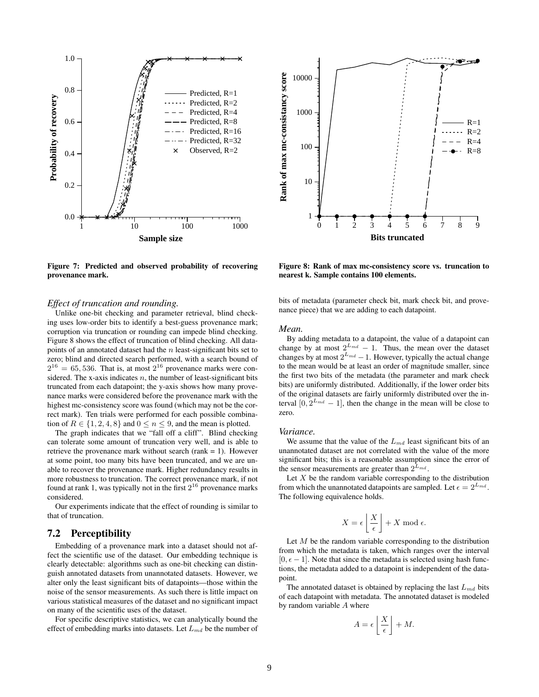

Figure 7: Predicted and observed probability of recovering provenance mark.

#### *Effect of truncation and rounding.*

Unlike one-bit checking and parameter retrieval, blind checking uses low-order bits to identify a best-guess provenance mark; corruption via truncation or rounding can impede blind checking. Figure 8 shows the effect of truncation of blind checking. All datapoints of an annotated dataset had the  $n$  least-significant bits set to zero; blind and directed search performed, with a search bound of  $2^{16} = 65,536$ . That is, at most  $2^{16}$  provenance marks were considered. The x-axis indicates  $n$ , the number of least-significant bits truncated from each datapoint; the y-axis shows how many provenance marks were considered before the provenance mark with the highest mc-consistency score was found (which may not be the correct mark). Ten trials were performed for each possible combination of  $R \in \{1, 2, 4, 8\}$  and  $0 \le n \le 9$ , and the mean is plotted.

The graph indicates that we "fall off a cliff". Blind checking can tolerate some amount of truncation very well, and is able to retrieve the provenance mark without search (rank = 1). However at some point, too many bits have been truncated, and we are unable to recover the provenance mark. Higher redundancy results in more robustness to truncation. The correct provenance mark, if not found at rank 1, was typically not in the first  $2^{16}$  provenance marks considered.

Our experiments indicate that the effect of rounding is similar to that of truncation.

#### 7.2 Perceptibility

Embedding of a provenance mark into a dataset should not affect the scientific use of the dataset. Our embedding technique is clearly detectable: algorithms such as one-bit checking can distinguish annotated datasets from unannotated datasets. However, we alter only the least significant bits of datapoints—those within the noise of the sensor measurements. As such there is little impact on various statistical measures of the dataset and no significant impact on many of the scientific uses of the dataset.

For specific descriptive statistics, we can analytically bound the effect of embedding marks into datasets. Let  $L_{md}$  be the number of



Figure 8: Rank of max mc-consistency score vs. truncation to nearest k. Sample contains 100 elements.

bits of metadata (parameter check bit, mark check bit, and provenance piece) that we are adding to each datapoint.

#### *Mean.*

By adding metadata to a datapoint, the value of a datapoint can change by at most  $2^{L_{md}} - 1$ . Thus, the mean over the dataset changes by at most  $2^{L_{md}} - 1$ . However, typically the actual change to the mean would be at least an order of magnitude smaller, since the first two bits of the metadata (the parameter and mark check bits) are uniformly distributed. Additionally, if the lower order bits of the original datasets are fairly uniformly distributed over the interval  $[0, 2^{L_{md}} - 1]$ , then the change in the mean will be close to zero.

#### *Variance.*

We assume that the value of the  $L_{md}$  least significant bits of an unannotated dataset are not correlated with the value of the more significant bits; this is a reasonable assumption since the error of the sensor measurements are greater than  $2^{L_{md}}$ .

Let  $X$  be the random variable corresponding to the distribution from which the unannotated datapoints are sampled. Let  $\epsilon = 2^{L_{md}}$ . The following equivalence holds.

$$
X = \epsilon \left\lfloor \frac{X}{\epsilon} \right\rfloor + X \bmod \epsilon.
$$

Let  $M$  be the random variable corresponding to the distribution from which the metadata is taken, which ranges over the interval [0,  $\epsilon - 1$ ]. Note that since the metadata is selected using hash functions, the metadata added to a datapoint is independent of the datapoint.

The annotated dataset is obtained by replacing the last  $L_{md}$  bits of each datapoint with metadata. The annotated dataset is modeled by random variable A where

$$
A = \epsilon \left\lfloor \frac{X}{\epsilon} \right\rfloor + M.
$$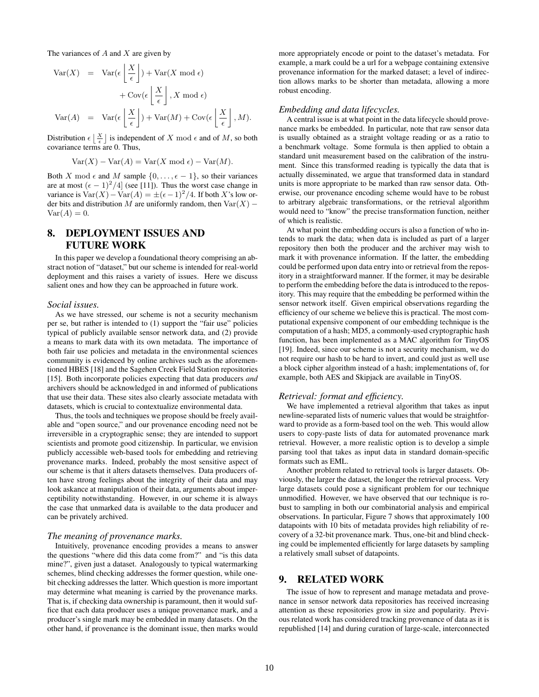The variances of  $A$  and  $X$  are given by

$$
Var(X) = Var(\epsilon \left\lfloor \frac{X}{\epsilon} \right\rfloor) + Var(X \mod \epsilon)
$$

$$
+ Cov(\epsilon \left\lfloor \frac{X}{\epsilon} \right\rfloor, X \mod \epsilon)
$$

$$
Var(A) = Var(\epsilon \left\lfloor \frac{X}{\epsilon} \right\rfloor) + Var(M) + Cov(\epsilon \left\lfloor \frac{X}{\epsilon} \right\rfloor, M).
$$

Distribution  $\epsilon \left[ \frac{X}{\epsilon} \right]$  is independent of X mod  $\epsilon$  and of M, so both covariance terms are 0. Thus,

$$
Var(X) - Var(A) = Var(X \mod \epsilon) - Var(M).
$$

Both X mod  $\epsilon$  and M sample  $\{0, \ldots, \epsilon - 1\}$ , so their variances are at most  $(\epsilon - 1)^2/4$  (see [11]). Thus the worst case change in variance is  $Var(X) - Var(A) = \pm (\epsilon - 1)^2/4$ . If both X's low order bits and distribution M are uniformly random, then  $\text{Var}(X)$  –  $Var(A) = 0.$ 

# 8. DEPLOYMENT ISSUES AND FUTURE WORK

In this paper we develop a foundational theory comprising an abstract notion of "dataset," but our scheme is intended for real-world deployment and this raises a variety of issues. Here we discuss salient ones and how they can be approached in future work.

### *Social issues.*

As we have stressed, our scheme is not a security mechanism per se, but rather is intended to (1) support the "fair use" policies typical of publicly available sensor network data, and (2) provide a means to mark data with its own metadata. The importance of both fair use policies and metadata in the environmental sciences community is evidenced by online archives such as the aforementioned HBES [18] and the Sagehen Creek Field Station repositories [15]. Both incorporate policies expecting that data producers *and* archivers should be acknowledged in and informed of publications that use their data. These sites also clearly associate metadata with datasets, which is crucial to contextualize environmental data.

Thus, the tools and techniques we propose should be freely available and "open source," and our provenance encoding need not be irreversible in a cryptographic sense; they are intended to support scientists and promote good citizenship. In particular, we envision publicly accessible web-based tools for embedding and retrieving provenance marks. Indeed, probably the most sensitive aspect of our scheme is that it alters datasets themselves. Data producers often have strong feelings about the integrity of their data and may look askance at manipulation of their data, arguments about imperceptibility notwithstanding. However, in our scheme it is always the case that unmarked data is available to the data producer and can be privately archived.

#### *The meaning of provenance marks.*

Intuitively, provenance encoding provides a means to answer the questions "where did this data come from?" and "is this data mine?", given just a dataset. Analogously to typical watermarking schemes, blind checking addresses the former question, while onebit checking addresses the latter. Which question is more important may determine what meaning is carried by the provenance marks. That is, if checking data ownership is paramount, then it would suffice that each data producer uses a unique provenance mark, and a producer's single mark may be embedded in many datasets. On the other hand, if provenance is the dominant issue, then marks would

more appropriately encode or point to the dataset's metadata. For example, a mark could be a url for a webpage containing extensive provenance information for the marked dataset; a level of indirection allows marks to be shorter than metadata, allowing a more robust encoding.

#### *Embedding and data lifecycles.*

A central issue is at what point in the data lifecycle should provenance marks be embedded. In particular, note that raw sensor data is usually obtained as a straight voltage reading or as a ratio to a benchmark voltage. Some formula is then applied to obtain a standard unit measurement based on the calibration of the instrument. Since this transformed reading is typically the data that is actually disseminated, we argue that transformed data in standard units is more appropriate to be marked than raw sensor data. Otherwise, our provenance encoding scheme would have to be robust to arbitrary algebraic transformations, or the retrieval algorithm would need to "know" the precise transformation function, neither of which is realistic.

At what point the embedding occurs is also a function of who intends to mark the data; when data is included as part of a larger repository then both the producer and the archiver may wish to mark it with provenance information. If the latter, the embedding could be performed upon data entry into or retrieval from the repository in a straightforward manner. If the former, it may be desirable to perform the embedding before the data is introduced to the repository. This may require that the embedding be performed within the sensor network itself. Given empirical observations regarding the efficiency of our scheme we believe this is practical. The most computational expensive component of our embedding technique is the computation of a hash; MD5, a commonly-used cryptographic hash function, has been implemented as a MAC algorithm for TinyOS [19]. Indeed, since our scheme is not a security mechanism, we do not require our hash to be hard to invert, and could just as well use a block cipher algorithm instead of a hash; implementations of, for example, both AES and Skipjack are available in TinyOS.

#### *Retrieval: format and efficiency.*

We have implemented a retrieval algorithm that takes as input newline-separated lists of numeric values that would be straightforward to provide as a form-based tool on the web. This would allow users to copy-paste lists of data for automated provenance mark retrieval. However, a more realistic option is to develop a simple parsing tool that takes as input data in standard domain-specific formats such as EML.

Another problem related to retrieval tools is larger datasets. Obviously, the larger the dataset, the longer the retrieval process. Very large datasets could pose a significant problem for our technique unmodified. However, we have observed that our technique is robust to sampling in both our combinatorial analysis and empirical observations. In particular, Figure 7 shows that approximately 100 datapoints with 10 bits of metadata provides high reliability of recovery of a 32-bit provenance mark. Thus, one-bit and blind checking could be implemented efficiently for large datasets by sampling a relatively small subset of datapoints.

### 9. RELATED WORK

The issue of how to represent and manage metadata and provenance in sensor network data repositories has received increasing attention as these repositories grow in size and popularity. Previous related work has considered tracking provenance of data as it is republished [14] and during curation of large-scale, interconnected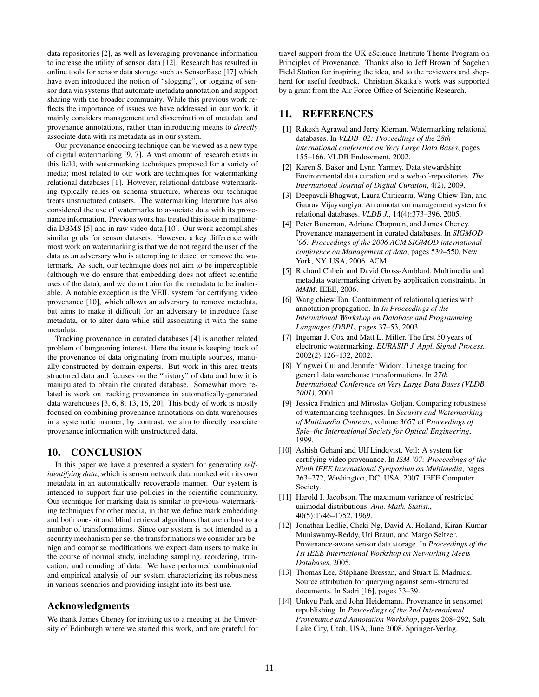data repositories [2], as well as leveraging provenance information to increase the utility of sensor data [12]. Research has resulted in online tools for sensor data storage such as SensorBase [17] which have even introduced the notion of "slogging", or logging of sensor data via systems that automate metadata annotation and support sharing with the broader community. While this previous work reflects the importance of issues we have addressed in our work, it mainly considers management and dissemination of metadata and provenance annotations, rather than introducing means to *directly* associate data with its metadata as in our system.

Our provenance encoding technique can be viewed as a new type of digital watermarking [9, 7]. A vast amount of research exists in this field, with watermarking techniques proposed for a variety of media; most related to our work are techniques for watermarking relational databases [1]. However, relational database watermarking typically relies on schema structure, whereas our technique treats unstructured datasets. The watermarking literature has also considered the use of watermarks to associate data with its provenance information. Previous work has treated this issue in multimedia DBMS [5] and in raw video data [10]. Our work accomplishes similar goals for sensor datasets. However, a key difference with most work on watermarking is that we do not regard the user of the data as an adversary who is attempting to detect or remove the watermark. As such, our technique does not aim to be imperceptible (although we do ensure that embedding does not affect scientific uses of the data), and we do not aim for the metadata to be inalterable. A notable exception is the VEIL system for certifying video provenance [10], which allows an adversary to remove metadata, but aims to make it difficult for an adversary to introduce false metadata, or to alter data while still associating it with the same metadata.

Tracking provenance in curated databases [4] is another related problem of burgeoning interest. Here the issue is keeping track of the provenance of data originating from multiple sources, manually constructed by domain experts. But work in this area treats structured data and focuses on the "history" of data and how it is manipulated to obtain the curated database. Somewhat more related is work on tracking provenance in automatically-generated data warehouses [3, 6, 8, 13, 16, 20]. This body of work is mostly focused on combining provenance annotations on data warehouses in a systematic manner; by contrast, we aim to directly associate provenance information with unstructured data.

### 10. CONCLUSION

In this paper we have a presented a system for generating *selfidentifying data*, which is sensor network data marked with its own metadata in an automatically recoverable manner. Our system is intended to support fair-use policies in the scientific community. Our technique for marking data is similar to previous watermarking techniques for other media, in that we define mark embedding and both one-bit and blind retrieval algorithms that are robust to a number of transformations. Since our system is not intended as a security mechanism per se, the transformations we consider are benign and comprise modifications we expect data users to make in the course of normal study, including sampling, reordering, truncation, and rounding of data. We have performed combinatorial and empirical analysis of our system characterizing its robustness in various scenarios and providing insight into its best use.

### Acknowledgments

We thank James Cheney for inviting us to a meeting at the University of Edinburgh where we started this work, and are grateful for travel support from the UK eScience Institute Theme Program on Principles of Provenance. Thanks also to Jeff Brown of Sagehen Field Station for inspiring the idea, and to the reviewers and shepherd for useful feedback. Christian Skalka's work was supported by a grant from the Air Force Office of Scientific Research.

### 11. REFERENCES

- [1] Rakesh Agrawal and Jerry Kiernan. Watermarking relational databases. In *VLDB '02: Proceedings of the 28th international conference on Very Large Data Bases*, pages 155–166. VLDB Endowment, 2002.
- [2] Karen S. Baker and Lynn Yarmey. Data stewardship: Environmental data curation and a web-of-repositories. *The International Journal of Digital Curation*, 4(2), 2009.
- [3] Deepavali Bhagwat, Laura Chiticariu, Wang Chiew Tan, and Gaurav Vijayvargiya. An annotation management system for relational databases. *VLDB J.*, 14(4):373–396, 2005.
- [4] Peter Buneman, Adriane Chapman, and James Cheney. Provenance management in curated databases. In *SIGMOD '06: Proceedings of the 2006 ACM SIGMOD international conference on Management of data*, pages 539–550, New York, NY, USA, 2006. ACM.
- [5] Richard Chbeir and David Gross-Amblard. Multimedia and metadata watermarking driven by application constraints. In *MMM*. IEEE, 2006.
- [6] Wang chiew Tan. Containment of relational queries with annotation propagation. In *In Proceedings of the International Workshop on Database and Programming Languages (DBPL*, pages 37–53, 2003.
- [7] Ingemar J. Cox and Matt L. Miller. The first 50 years of electronic watermarking. *EURASIP J. Appl. Signal Process.*, 2002(2):126–132, 2002.
- [8] Yingwei Cui and Jennifer Widom. Lineage tracing for general data warehouse transformations. In *27th International Conference on Very Large Data Bases (VLDB 2001)*, 2001.
- [9] Jessica Fridrich and Miroslav Goljan. Comparing robustness of watermarking techniques. In *Security and Watermarking of Multimedia Contents*, volume 3657 of *Proceedings of Spie–the International Society for Optical Engineering*, 1999.
- [10] Ashish Gehani and Ulf Lindqvist. Veil: A system for certifying video provenance. In *ISM '07: Proceedings of the Ninth IEEE International Symposium on Multimedia*, pages 263–272, Washington, DC, USA, 2007. IEEE Computer Society.
- [11] Harold I. Jacobson. The maximum variance of restricted unimodal distributions. *Ann. Math. Statist.*, 40(5):1746–1752, 1969.
- [12] Jonathan Ledlie, Chaki Ng, David A. Holland, Kiran-Kumar Muniswamy-Reddy, Uri Braun, and Margo Seltzer. Provenance-aware sensor data storage. In *Proceedings of the 1st IEEE International Workshop on Networking Meets Databases*, 2005.
- [13] Thomas Lee, Stéphane Bressan, and Stuart E. Madnick. Source attribution for querying against semi-structured documents. In Sadri [16], pages 33–39.
- [14] Unkyu Park and John Heidemann. Provenance in sensornet republishing. In *Proceedings of the 2nd International Provenance and Annotation Workshop*, pages 208–292, Salt Lake City, Utah, USA, June 2008. Springer-Verlag.